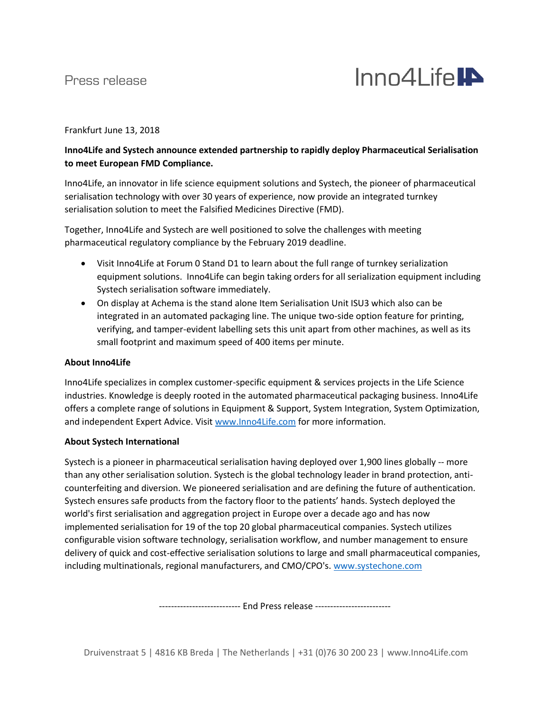## Press release



Frankfurt June 13, 2018

### **Inno4Life and Systech announce extended partnership to rapidly deploy Pharmaceutical Serialisation to meet European FMD Compliance.**

Inno4Life, an innovator in life science equipment solutions and Systech, the pioneer of pharmaceutical serialisation technology with over 30 years of experience, now provide an integrated turnkey serialisation solution to meet the Falsified Medicines Directive (FMD).

Together, Inno4Life and Systech are well positioned to solve the challenges with meeting pharmaceutical regulatory compliance by the February 2019 deadline.

- Visit Inno4Life at Forum 0 Stand D1 to learn about the full range of turnkey serialization equipment solutions. Inno4Life can begin taking orders for all serialization equipment including Systech serialisation software immediately.
- On display at Achema is the stand alone Item Serialisation Unit ISU3 which also can be integrated in an automated packaging line. The unique two-side option feature for printing, verifying, and tamper-evident labelling sets this unit apart from other machines, as well as its small footprint and maximum speed of 400 items per minute.

#### **About Inno4Life**

Inno4Life specializes in complex customer-specific equipment & services projects in the Life Science industries. Knowledge is deeply rooted in the automated pharmaceutical packaging business. Inno4Life offers a complete range of solutions in Equipment & Support, System Integration, System Optimization, and independent Expert Advice. Visit [www.Inno4Life.com](http://www.inno4life.com/) for more information.

#### **About Systech International**

Systech is a pioneer in pharmaceutical serialisation having deployed over 1,900 lines globally -- more than any other serialisation solution. Systech is the global technology leader in brand protection, anticounterfeiting and diversion. We pioneered serialisation and are defining the future of authentication. Systech ensures safe products from the factory floor to the patients' hands. Systech deployed the world's first serialisation and aggregation project in Europe over a decade ago and has now implemented serialisation for 19 of the top 20 global pharmaceutical companies. Systech utilizes configurable vision software technology, serialisation workflow, and number management to ensure delivery of quick and cost-effective serialisation solutions to large and small pharmaceutical companies, including multinationals, regional manufacturers, and CMO/CPO's. [www.systechone.com](http://www.systechone.com/)

---------------------- End Press release ---------------------